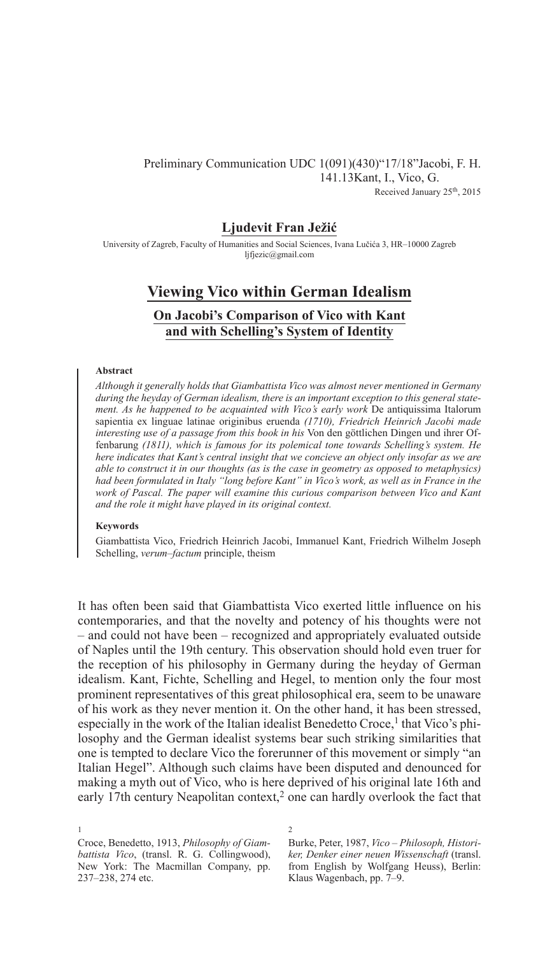### Preliminary Communication UDC 1(091)(430)"17/18"Jacobi, F. H.    141.13Kant, I., Vico, G. Received January 25th, 2015

## **Ljudevit Fran Ježić**

University of Zagreb, Faculty of Humanities and Social Sciences, Ivana Lučića 3, HR–10000 Zagreb ljfjezic@gmail.com

# **Viewing Vico within German Idealism**

# **On Jacobi's Comparison of Vico with Kant and with Schelling's System of Identity**

#### **Abstract**

*Although it generally holds that Giambattista Vico was almost never mentioned in Germany during the heyday of German idealism, there is an important exception to this general statement. As he happened to be acquainted with Vico's early work De antiquissima Italorum* sapientia ex linguae latinae originibus eruenda *(1710), Friedrich Heinrich Jacobi made interesting use of a passage from this book in his* Von den göttlichen Dingen und ihrer Offenbarung *(1811), which is famous for its polemical tone towards Schelling's system. He here indicates that Kant's central insight that we concieve an object only insofar as we are able to construct it in our thoughts (as is the case in geometry as opposed to metaphysics) had been formulated in Italy "long before Kant" in Vico's work, as well as in France in the work of Pascal. The paper will examine this curious comparison between Vico and Kant and the role it might have played in its original context.*

#### **Keywords**

1

Giambattista Vico, Friedrich Heinrich Jacobi, Immanuel Kant, Friedrich Wilhelm Joseph Schelling, *verum–factum* principle, theism

It has often been said that Giambattista Vico exerted little influence on his contemporaries, and that the novelty and potency of his thoughts were not – and could not have been – recognized and appropriately evaluated outside of Naples until the 19th century. This observation should hold even truer for the reception of his philosophy in Germany during the heyday of German idealism. Kant, Fichte, Schelling and Hegel, to mention only the four most prominent representatives of this great philosophical era, seem to be unaware of his work as they never mention it. On the other hand, it has been stressed, especially in the work of the Italian idealist Benedetto Croce,<sup>1</sup> that Vico's philosophy and the German idealist systems bear such striking similarities that one is tempted to declare Vico the forerunner of this movement or simply "an Italian Hegel". Although such claims have been disputed and denounced for making a myth out of Vico, who is here deprived of his original late 16th and early 17th century Neapolitan context,<sup>2</sup> one can hardly overlook the fact that

Croce, Benedetto, 1913, *Philosophy of Giambattista Vico*, (transl. R. G. Collingwood), New York: The Macmillan Company, pp. 237–238, 274 etc.

2

Burke, Peter, 1987, *Vico – Philosoph, Historiker, Denker einer neuen Wissenschaft* (transl. from English by Wolfgang Heuss), Berlin: Klaus Wagenbach, pp. 7–9.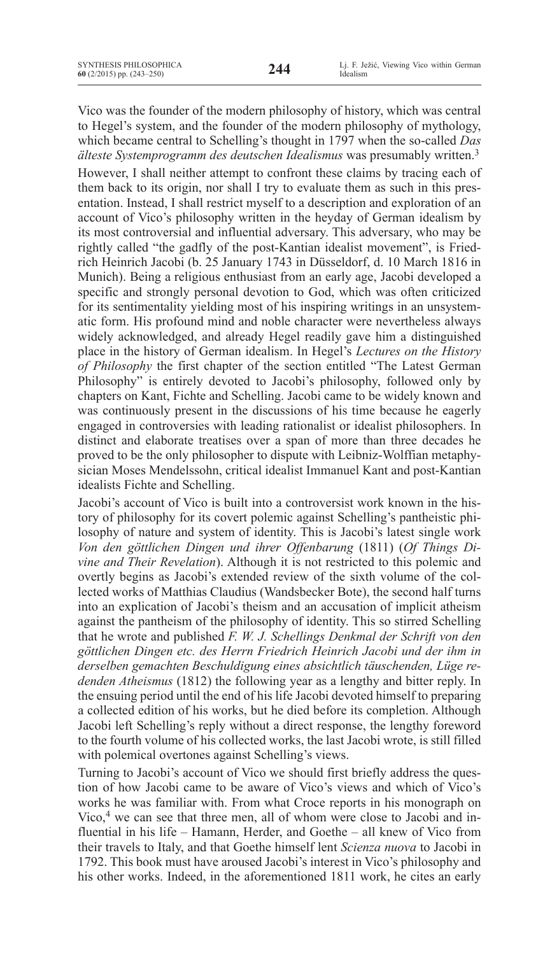Vico was the founder of the modern philosophy of history, which was central to Hegel's system, and the founder of the modern philosophy of mythology, which became central to Schelling's thought in 1797 when the so-called *Das älteste Systemprogramm des deutschen Idealismus* was presumably written.<sup>3</sup>

However, I shall neither attempt to confront these claims by tracing each of them back to its origin, nor shall I try to evaluate them as such in this presentation. Instead, I shall restrict myself to a description and exploration of an account of Vico's philosophy written in the heyday of German idealism by its most controversial and influential adversary. This adversary, who may be rightly called "the gadfly of the post-Kantian idealist movement", is Friedrich Heinrich Jacobi (b. 25 January 1743 in Düsseldorf, d. 10 March 1816 in Munich). Being a religious enthusiast from an early age, Jacobi developed a specific and strongly personal devotion to God, which was often criticized for its sentimentality yielding most of his inspiring writings in an unsystematic form. His profound mind and noble character were nevertheless always widely acknowledged, and already Hegel readily gave him a distinguished place in the history of German idealism. In Hegel's *Lectures on the history of philosophy* the first chapter of the section entitled "The latest German philosophy" is entirely devoted to Jacobi's philosophy, followed only by chapters on Kant, Fichte and Schelling. Jacobi came to be widely known and was continuously present in the discussions of his time because he eagerly engaged in controversies with leading rationalist or idealist philosophers. In distinct and elaborate treatises over a span of more than three decades he proved to be the only philosopher to dispute with Leibniz-Wolffian metaphysician Moses Mendelssohn, critical idealist Immanuel Kant and post-Kantian idealists Fichte and Schelling.

Jacobi's account of Vico is built into a controversist work known in the history of philosophy for its covert polemic against Schelling's pantheistic philosophy of nature and system of identity. This is Jacobi's latest single work *Von den göttlichen Dingen und ihrer Offenbarung* (1811) (*Of Things Divine and Their Revelation*). Although it is not restricted to this polemic and overtly begins as Jacobi's extended review of the sixth volume of the collected works of Matthias Claudius (Wandsbecker Bote), the second half turns into an explication of Jacobi's theism and an accusation of implicit atheism against the pantheism of the philosophy of identity. This so stirred Schelling that he wrote and published *F. W. J. Schellings Denkmal der Schrift von den göttlichen Dingen etc. des Herrn Friedrich Heinrich Jacobi und der ihm in derselben gemachten Beschuldigung eines absichtlich täuschenden, Lüge redenden Atheismus* (1812) the following year as a lengthy and bitter reply. In the ensuing period until the end of his life Jacobi devoted himself to preparing a collected edition of his works, but he died before its completion. Although Jacobi left Schelling's reply without a direct response, the lengthy foreword to the fourth volume of his collected works, the last Jacobi wrote, is still filled with polemical overtones against Schelling's views.

Turning to Jacobi's account of Vico we should first briefly address the question of how Jacobi came to be aware of Vico's views and which of Vico's works he was familiar with. From what Croce reports in his monograph on Vico,<sup>4</sup> we can see that three men, all of whom were close to Jacobi and influential in his life – Hamann, Herder, and Goethe – all knew of Vico from their travels to Italy, and that Goethe himself lent *Scienza nuova* to Jacobi in 1792. This book must have aroused Jacobi's interest in Vico's philosophy and his other works. Indeed, in the aforementioned 1811 work, he cites an early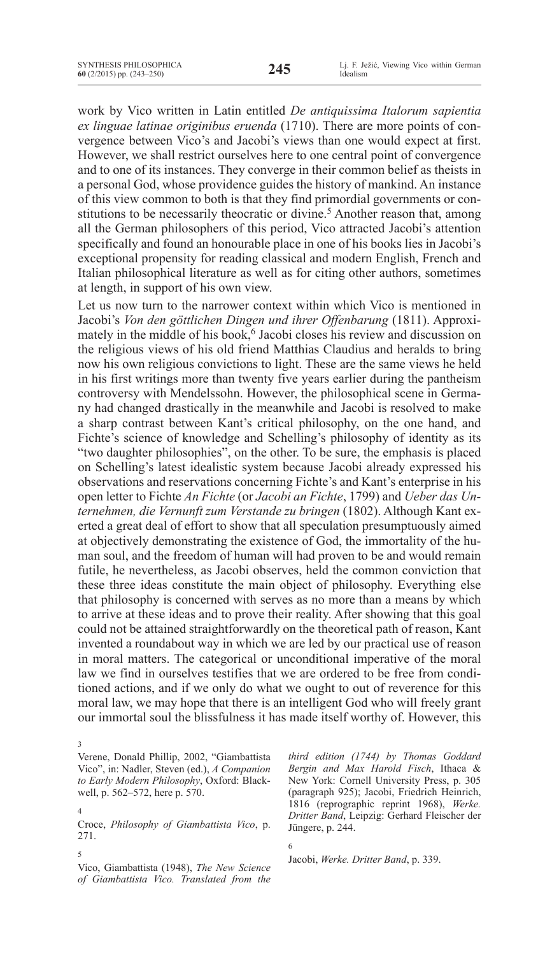work by Vico written in Latin entitled *De antiquissima Italorum sapientia ex linguae latinae originibus eruenda* (1710). There are more points of convergence between Vico's and Jacobi's views than one would expect at first. However, we shall restrict ourselves here to one central point of convergence and to one of its instances. They converge in their common belief as theists in a personal God, whose providence guides the history of mankind. An instance of this view common to both is that they find primordial governments or constitutions to be necessarily theocratic or divine.<sup>5</sup> Another reason that, among all the German philosophers of this period, Vico attracted Jacobi's attention specifically and found an honourable place in one of his books lies in Jacobi's exceptional propensity for reading classical and modern English, French and Italian philosophical literature as well as for citing other authors, sometimes at length, in support of his own view.

Let us now turn to the narrower context within which Vico is mentioned in Jacobi's *Von den göttlichen Dingen und ihrer Offenbarung* (1811). Approximately in the middle of his book,<sup>6</sup> Jacobi closes his review and discussion on the religious views of his old friend Matthias Claudius and heralds to bring now his own religious convictions to light. These are the same views he held in his first writings more than twenty five years earlier during the pantheism controversy with Mendelssohn. However, the philosophical scene in Germany had changed drastically in the meanwhile and Jacobi is resolved to make a sharp contrast between Kant's critical philosophy, on the one hand, and Fichte's science of knowledge and Schelling's philosophy of identity as its "two daughter philosophies", on the other. To be sure, the emphasis is placed on Schelling's latest idealistic system because Jacobi already expressed his observations and reservations concerning Fichte's and Kant's enterprise in his open letter to Fichte *An Fichte* (or *Jacobi an Fichte*, 1799) and *Ueber das Unternehmen, die Vernunft zum Verstande zu bringen* (1802). Although Kant exerted a great deal of effort to show that all speculation presumptuously aimed at objectively demonstrating the existence of God, the immortality of the human soul, and the freedom of human will had proven to be and would remain futile, he nevertheless, as Jacobi observes, held the common conviction that these three ideas constitute the main object of philosophy. Everything else that philosophy is concerned with serves as no more than a means by which to arrive at these ideas and to prove their reality. After showing that this goal could not be attained straightforwardly on the theoretical path of reason, Kant invented a roundabout way in which we are led by our practical use of reason in moral matters. The categorical or unconditional imperative of the moral law we find in ourselves testifies that we are ordered to be free from conditioned actions, and if we only do what we ought to out of reverence for this moral law, we may hope that there is an intelligent God who will freely grant our immortal soul the blissfulness it has made itself worthy of. However, this

4

Croce, *Philosophy of Giambattista Vico*, p. 271.

5

Vico, Giambattista (1948), *The New Science of Giambattista Vico. Translated from the*  *third edition (1744) by Thomas Goddard Bergin and Max Harold Fisch*, Ithaca & New York: Cornell University Press, p. 305 (paragraph 925); Jacobi, Friedrich Heinrich, 1816 (reprographic reprint 1968), *Werke. Dritter Band*, Leipzig: Gerhard Fleischer der Jüngere, p. 244.

Jacobi, *Werke. Dritter Band*, p. 339.

6

<sup>3</sup> Verene, Donald Phillip, 2002, "Giambattista Vico", in: Nadler, Steven (ed.), *A Companion to Early Modern Philosophy*, Oxford: Blackwell, p. 562–572, here p. 570.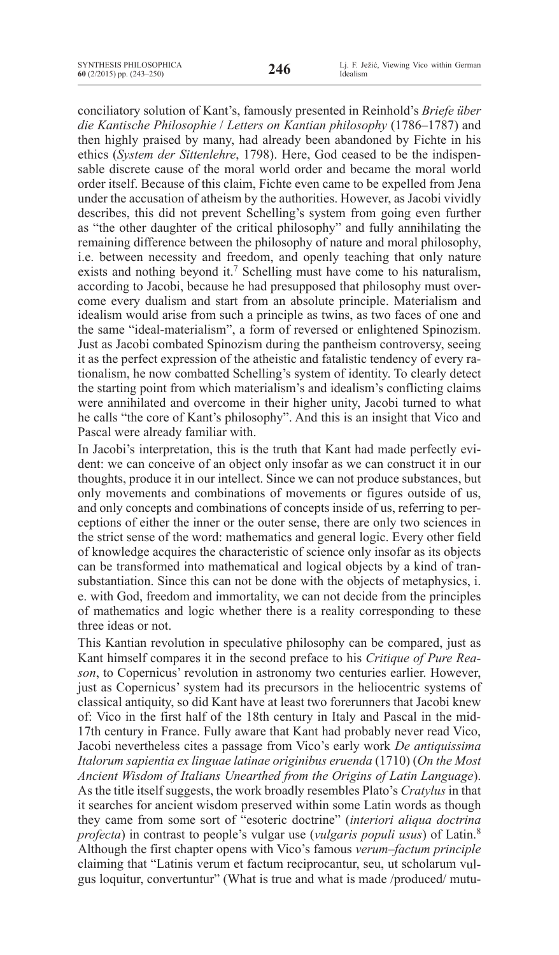conciliatory solution of Kant's, famously presented in Reinhold's *Briefe über die Kantische Philosophie* / *Letters on Kantian philosophy* (1786–1787) and then highly praised by many, had already been abandoned by Fichte in his ethics (*System der Sittenlehre*, 1798). Here, God ceased to be the indispensable discrete cause of the moral world order and became the moral world order itself. Because of this claim, Fichte even came to be expelled from Jena under the accusation of atheism by the authorities. However, as Jacobi vividly describes, this did not prevent Schelling's system from going even further as "the other daughter of the critical philosophy" and fully annihilating the remaining difference between the philosophy of nature and moral philosophy, i.e. between necessity and freedom, and openly teaching that only nature exists and nothing beyond it.<sup>7</sup> Schelling must have come to his naturalism, according to Jacobi, because he had presupposed that philosophy must overcome every dualism and start from an absolute principle. Materialism and idealism would arise from such a principle as twins, as two faces of one and the same "ideal-materialism", a form of reversed or enlightened Spinozism. Just as Jacobi combated Spinozism during the pantheism controversy, seeing it as the perfect expression of the atheistic and fatalistic tendency of every rationalism, he now combatted Schelling's system of identity. To clearly detect the starting point from which materialism's and idealism's conflicting claims were annihilated and overcome in their higher unity, Jacobi turned to what he calls "the core of Kant's philosophy". And this is an insight that Vico and Pascal were already familiar with.

In Jacobi's interpretation, this is the truth that Kant had made perfectly evident: we can conceive of an object only insofar as we can construct it in our thoughts, produce it in our intellect. Since we can not produce substances, but only movements and combinations of movements or figures outside of us, and only concepts and combinations of concepts inside of us, referring to perceptions of either the inner or the outer sense, there are only two sciences in the strict sense of the word: mathematics and general logic. Every other field of knowledge acquires the characteristic of science only insofar as its objects can be transformed into mathematical and logical objects by a kind of transubstantiation. Since this can not be done with the objects of metaphysics, i. e. with God, freedom and immortality, we can not decide from the principles of mathematics and logic whether there is a reality corresponding to these three ideas or not.

This Kantian revolution in speculative philosophy can be compared, just as Kant himself compares it in the second preface to his *Critique of Pure Reason*, to Copernicus' revolution in astronomy two centuries earlier. However, just as Copernicus' system had its precursors in the heliocentric systems of classical antiquity, so did Kant have at least two forerunners that Jacobi knew of: Vico in the first half of the 18th century in Italy and Pascal in the mid-17th century in France. Fully aware that Kant had probably never read Vico, Jacobi nevertheless cites a passage from Vico's early work *De antiquissima Italorum sapientia ex linguae latinae originibus eruenda* (1710) (*On the Most Ancient Wisdom of Italians Unearthed from the Origins of Latin Language*). As the title itself suggests, the work broadly resembles Plato's *Cratylus* in that it searches for ancient wisdom preserved within some Latin words as though they came from some sort of "esoteric doctrine" (*interiori aliqua doctrina profecta*) in contrast to people's vulgar use (*vulgaris populi usus*) of Latin.8 Although the first chapter opens with Vico's famous *verum–factum principle*  claiming that "Latinis verum et factum reciprocantur, seu, ut scholarum vulgus loquitur, convertuntur" (What is true and what is made /produced/ mutu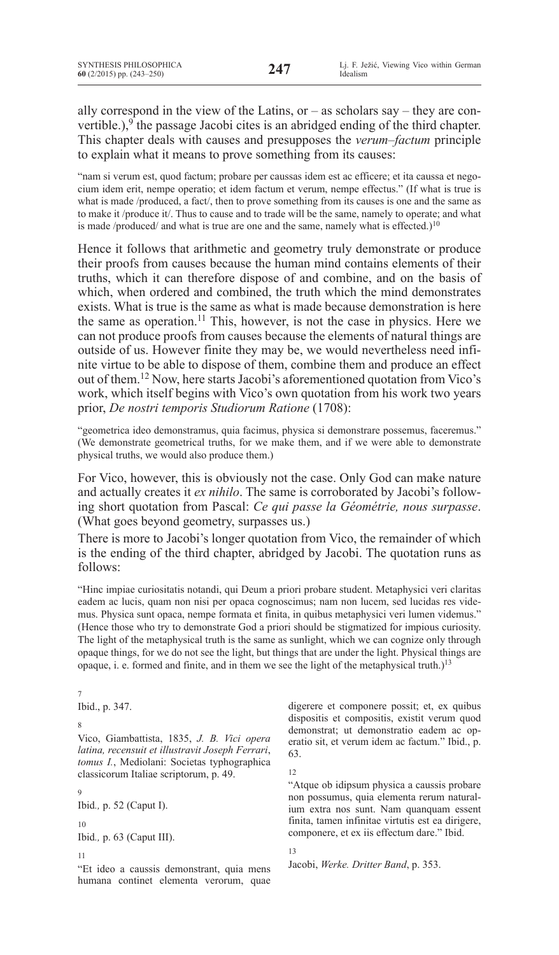ally correspond in the view of the Latins, or – as scholars say – they are convertible.), $9$  the passage Jacobi cites is an abridged ending of the third chapter. This chapter deals with causes and presupposes the *verum–factum* principle to explain what it means to prove something from its causes:

"nam si verum est, quod factum; probare per caussas idem est ac efficere; et ita caussa et negocium idem erit, nempe operatio; et idem factum et verum, nempe effectus." (If what is true is what is made /produced, a fact/, then to prove something from its causes is one and the same as to make it /produce it/. Thus to cause and to trade will be the same, namely to operate; and what is made /produced/ and what is true are one and the same, namely what is effected.)<sup>10</sup>

Hence it follows that arithmetic and geometry truly demonstrate or produce their proofs from causes because the human mind contains elements of their truths, which it can therefore dispose of and combine, and on the basis of which, when ordered and combined, the truth which the mind demonstrates exists. What is true is the same as what is made because demonstration is here the same as operation.<sup>11</sup> This, however, is not the case in physics. Here we can not produce proofs from causes because the elements of natural things are outside of us. However finite they may be, we would nevertheless need infinite virtue to be able to dispose of them, combine them and produce an effect out of them.12 Now, here starts Jacobi's aforementioned quotation from Vico's work, which itself begins with Vico's own quotation from his work two years prior, *De nostri temporis Studiorum Ratione* (1708):

"geometrica ideo demonstramus, quia facimus, physica si demonstrare possemus, faceremus." (We demonstrate geometrical truths, for we make them, and if we were able to demonstrate physical truths, we would also produce them.)

For Vico, however, this is obviously not the case. Only God can make nature and actually creates it *ex nihilo*. The same is corroborated by Jacobi's following short quotation from Pascal: *Ce qui passe la Géométrie, nous surpasse*. (What goes beyond geometry, surpasses us.)

There is more to Jacobi's longer quotation from Vico, the remainder of which is the ending of the third chapter, abridged by Jacobi. The quotation runs as follows:

"Hinc impiae curiositatis notandi, qui Deum a priori probare student. Metaphysici veri claritas eadem ac lucis, quam non nisi per opaca cognoscimus; nam non lucem, sed lucidas res videmus. Physica sunt opaca, nempe formata et finita, in quibus metaphysici veri lumen videmus." (Hence those who try to demonstrate God a priori should be stigmatized for impious curiosity. The light of the metaphysical truth is the same as sunlight, which we can cognize only through opaque things, for we do not see the light, but things that are under the light. Physical things are opaque, i. e. formed and finite, and in them we see the light of the metaphysical truth.)<sup>13</sup>

7 Ibid., p. 347.

## 8

Vico, Giambattista, 1835, *J. B. Vici opera latina, recensuit et illustravit Joseph Ferrari*, *tomus I.*, Mediolani: Societas typhographica classicorum Italiae scriptorum, p. 49.

9 Ibid*.,* p. 52 (Caput I).

10 Ibid*.,* p. 63 (Caput III).

11

"Et ideo a caussis demonstrant, quia mens humana continet elementa verorum, quae digerere et componere possit; et, ex quibus dispositis et compositis, existit verum quod demonstrat; ut demonstratio eadem ac operatio sit, et verum idem ac factum." Ibid., p. 63.

12

"Atque ob idipsum physica a caussis probare non possumus, quia elementa rerum naturalium extra nos sunt. Nam quanquam essent finita, tamen infinitae virtutis est ea dirigere, componere, et ex iis effectum dare." Ibid.

13

Jacobi, *Werke. Dritter Band*, p. 353.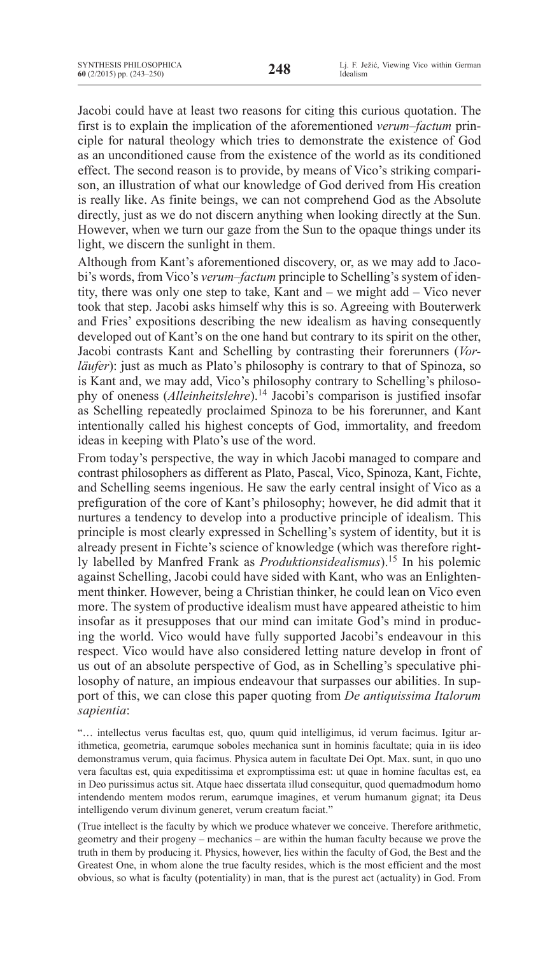Jacobi could have at least two reasons for citing this curious quotation. The first is to explain the implication of the aforementioned *verum–factum* principle for natural theology which tries to demonstrate the existence of God as an unconditioned cause from the existence of the world as its conditioned effect. The second reason is to provide, by means of Vico's striking comparison, an illustration of what our knowledge of God derived from His creation is really like. As finite beings, we can not comprehend God as the Absolute directly, just as we do not discern anything when looking directly at the Sun. However, when we turn our gaze from the Sun to the opaque things under its light, we discern the sunlight in them.

Although from Kant's aforementioned discovery, or, as we may add to Jacobi's words, from Vico's *verum–factum* principle to Schelling's system of identity, there was only one step to take, Kant and – we might add – Vico never took that step. Jacobi asks himself why this is so. Agreeing with Bouterwerk and Fries' expositions describing the new idealism as having consequently developed out of Kant's on the one hand but contrary to its spirit on the other, Jacobi contrasts Kant and Schelling by contrasting their forerunners (*Vorläufer*): just as much as Plato's philosophy is contrary to that of Spinoza, so is Kant and, we may add, Vico's philosophy contrary to Schelling's philosophy of oneness (*Alleinheitslehre*).<sup>14</sup> Jacobi's comparison is justified insofar as Schelling repeatedly proclaimed Spinoza to be his forerunner, and Kant intentionally called his highest concepts of God, immortality, and freedom ideas in keeping with Plato's use of the word.

From today's perspective, the way in which Jacobi managed to compare and contrast philosophers as different as Plato, Pascal, Vico, Spinoza, Kant, Fichte, and Schelling seems ingenious. He saw the early central insight of Vico as a prefiguration of the core of Kant's philosophy; however, he did admit that it nurtures a tendency to develop into a productive principle of idealism. This principle is most clearly expressed in Schelling's system of identity, but it is already present in Fichte's science of knowledge (which was therefore rightly labelled by Manfred Frank as *Produktionsidealismus*).<sup>15</sup> In his polemic against Schelling, Jacobi could have sided with Kant, who was an Enlightenment thinker. However, being a Christian thinker, he could lean on Vico even more. The system of productive idealism must have appeared atheistic to him insofar as it presupposes that our mind can imitate God's mind in producing the world. Vico would have fully supported Jacobi's endeavour in this respect. Vico would have also considered letting nature develop in front of us out of an absolute perspective of God, as in Schelling's speculative philosophy of nature, an impious endeavour that surpasses our abilities. In support of this, we can close this paper quoting from *De antiquissima Italorum sapientia*:

"… intellectus verus facultas est, quo, quum quid intelligimus, id verum facimus. Igitur arithmetica, geometria, earumque soboles mechanica sunt in hominis facultate; quia in iis ideo demonstramus verum, quia facimus. Physica autem in facultate Dei Opt. Max. sunt, in quo uno vera facultas est, quia expeditissima et expromptissima est: ut quae in homine facultas est, ea in Deo purissimus actus sit. Atque haec dissertata illud consequitur, quod quemadmodum homo intendendo mentem modos rerum, earumque imagines, et verum humanum gignat; ita Deus intelligendo verum divinum generet, verum creatum faciat."

(True intellect is the faculty by which we produce whatever we conceive. Therefore arithmetic, geometry and their progeny – mechanics – are within the human faculty because we prove the truth in them by producing it. Physics, however, lies within the faculty of God, the Best and the Greatest One, in whom alone the true faculty resides, which is the most efficient and the most obvious, so what is faculty (potentiality) in man, that is the purest act (actuality) in God. From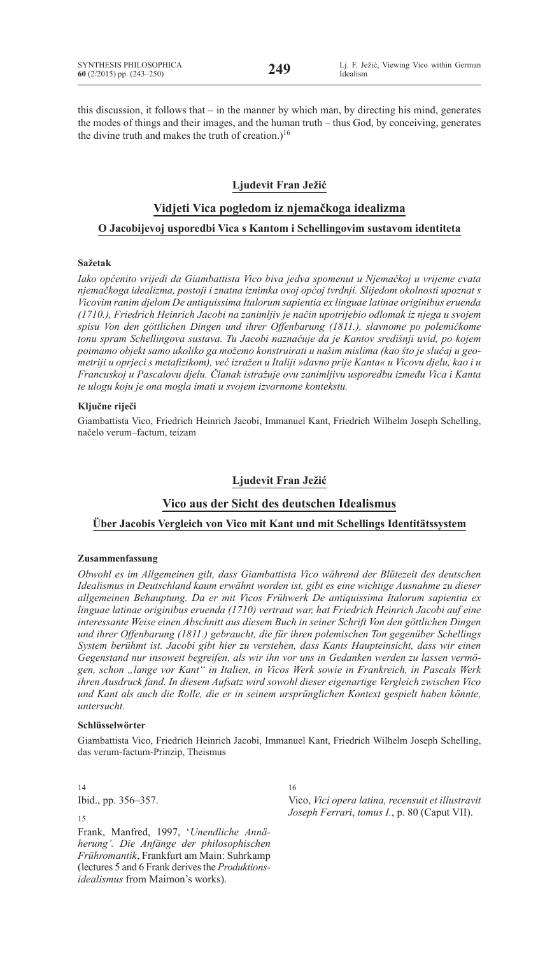this discussion, it follows that – in the manner by which man, by directing his mind, generates the modes of things and their images, and the human truth – thus God, by conceiving, generates the divine truth and makes the truth of creation.)<sup>16</sup>

## **Ljudevit Fran Ježić**

## **Vidjeti Vica pogledom iz njemačkoga idealizma**

## **O Jacobijevoj usporedbi Vica s Kantom i Schellingovim sustavom identiteta**

#### **Sažetak**

*Iako općenito vrijedi da Giambattista Vico biva jedva spomenut u Njemačkoj u vrijeme cvata njemačkoga idealizma, postoji i znatna iznimka ovoj općoj tvrdnji. Slijedom okolnosti upoznat s Vicovim ranim djelom De antiquissima Italorum sapientia ex linguae latinae originibus eruenda (1710.), Friedrich Heinrich Jacobi na zanimljiv je način upotrijebio odlomak iz njega u svojem spisu Von den göttlichen Dingen und ihrer Offenbarung (1811.), slavnome po polemičkome tonu spram Schellingova sustava. Tu Jacobi naznačuje da je Kantov središnji uvid, po kojem poimamo objekt samo ukoliko ga možemo konstruirati u našim mislima (kao što je slučaj u geometriji u oprjeci s metafizikom), već izražen u Italiji »davno prije Kanta« u Vicovu djelu, kao i u Francuskoj u Pascalovu djelu. Članak istražuje ovu zanimljivu usporedbu između Vica i Kanta te ulogu koju je ona mogla imati u svojem izvornome kontekstu.*

#### **Ključne riječi**

Giambattista Vico, Friedrich Heinrich Jacobi, Immanuel Kant, Friedrich Wilhelm Joseph Schelling, načelo verum–factum, teizam

### **Ljudevit Fran Ježić**

# **Vico aus der Sicht des deutschen Idealismus**

## **Über Jacobis Vergleich von Vico mit Kant und mit Schellings Identitätssystem**

#### **Zusammenfassung**

*Obwohl es im Allgemeinen gilt, dass Giambattista Vico während der Blütezeit des deutschen Idealismus in Deutschland kaum erwähnt worden ist, gibt es eine wichtige Ausnahme zu dieser allgemeinen Behauptung. Da er mit Vicos Frühwerk De antiquissima Italorum sapientia ex linguae latinae originibus eruenda (1710) vertraut war, hat Friedrich Heinrich Jacobi auf eine interessante Weise einen Abschnitt aus diesem Buch in seiner Schrift Von den göttlichen Dingen und ihrer Offenbarung (1811.) gebraucht, die für ihren polemischen Ton gegenüber Schellings System berühmt ist. Jacobi gibt hier zu verstehen, dass Kants Haupteinsicht, dass wir einen Gegenstand nur insoweit begreifen, als wir ihn vor uns in Gedanken werden zu lassen vermögen, schon "lange vor Kant" in Italien, in Vicos Werk sowie in Frankreich, in Pascals Werk ihren Ausdruck fand. In diesem Aufsatz wird sowohl dieser eigenartige Vergleich zwischen Vico und Kant als auch die Rolle, die er in seinem ursprünglichen Kontext gespielt haben könnte, untersucht.*

#### **Schlüsselwörter**

Giambattista Vico, Friedrich Heinrich Jacobi, Immanuel Kant, Friedrich Wilhelm Joseph Schelling, das verum-factum-Prinzip, Theismus

16

14 Ibid., pp. 356–357.

15

Frank, Manfred, 1997, '*Unendliche Annäherung'. Die Anfänge der philosophischen Frühromantik*, Frankfurt am Main: Suhrkamp (lectures 5 and 6 Frank derives the *Produktionsidealismus* from Maimon's works).

Vico, *Vici opera latina, recensuit et illustravit Joseph Ferrari*, *tomus I.*, p. 80 (Caput VII).